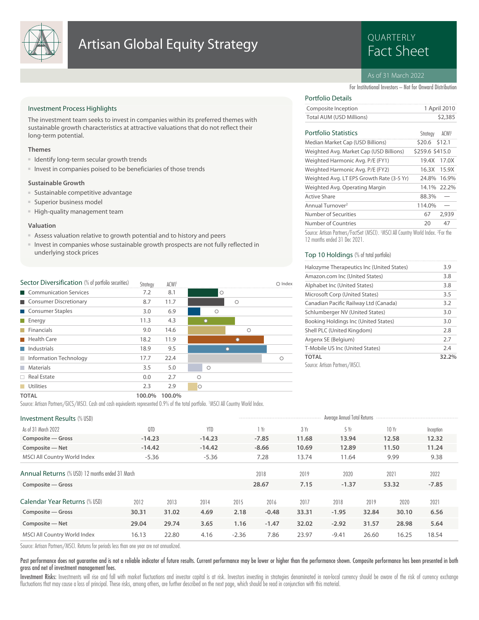

## **Artisan Global Equity Strategy Example Artisan Global Equity Strategy**

# QUARTERLY

#### As of 31 March 2022

For Institutional Investors – Not for Onward Distribution

#### Investment Process Highlights

The investment team seeks to invest in companies within its preferred themes with sustainable growth characteristics at attractive valuations that do not reflect their long-term potential.

#### **Themes**

- Identify long-term secular growth trends
- Invest in companies poised to be beneficiaries of those trends

#### **Sustainable Growth**

- Sustainable competitive advantage
- Superior business model
- High-quality management team

#### **Valuation**

- Assess valuation relative to growth potential and to history and peers
- Invest in companies whose sustainable growth prospects are not fully reflected in underlying stock prices

| Sector Diversification (% of portfolio securities) | Strategy | ACWI <sup>1</sup> |         |         |   | Index |
|----------------------------------------------------|----------|-------------------|---------|---------|---|-------|
| Communication Services                             | 7.2      | 8.1               |         | $\circ$ |   |       |
| Consumer Discretionary                             | 8.7      | 11.7              |         | $\circ$ |   |       |
| Consumer Staples                                   | 3.0      | 6.9               | $\circ$ |         |   |       |
| $\blacksquare$ Energy                              | 11.3     | 4.3               |         |         |   |       |
| $\blacksquare$ Financials                          | 9.0      | 14.6              |         |         | ∩ |       |
| <b>Health Care</b>                                 | 18.2     | 11.9              |         |         |   |       |
| Industrials                                        | 18.9     | 9.5               |         |         |   |       |
| Information Technology                             | 17.7     | 22.4              |         |         |   |       |
| <b>Materials</b>                                   | 3.5      | 5.0               | Ο       |         |   |       |
| $\Box$ Real Estate                                 | 0.0      | 2.7               |         |         |   |       |
| Utilities<br>M.                                    | 2.3      | 2.9               | Ο       |         |   |       |

#### Total AUM (USD Millions) \$2,385

Portfolio Details

| <b>Portfolio Statistics</b>                                                      | Strateav        | ACWI <sup>1</sup> |
|----------------------------------------------------------------------------------|-----------------|-------------------|
| Median Market Cap (USD Billions)                                                 | \$20.6 \$12.1   |                   |
| Weighted Avg. Market Cap (USD Billions)                                          | \$259.6 \$415.0 |                   |
| Weighted Harmonic Avg. P/E (FY1)                                                 | 19.4X           | 17.0X             |
| Weighted Harmonic Avg. P/E (FY2)                                                 | 16.3X           | 15.9X             |
| Weighted Avg. LT EPS Growth Rate (3-5 Yr)                                        | 24.8%           | 16.9%             |
| Weighted Avg. Operating Margin                                                   |                 | 14.1% 22.2%       |
| Active Share                                                                     | 88.3%           |                   |
| Annual Turnover <sup>2</sup>                                                     | 114.0%          |                   |
| Number of Securities                                                             | 67              | 2,939             |
| Number of Countries                                                              | 20              | 47                |
| Source: Artisan Partners /EastSet (MSCI) [MSCI All Country World Index, 2Eor the |                 |                   |

Composite Inception 1 April 2010

Source: Artisan Partners/FactSet (MSCI). <sup>1</sup>MSCI All Country World Index. <sup>2</sup> For the 12 months ended 31 Dec 2021.

#### Top 10 Holdings (% of total portfolio)

| Halozyme Therapeutics Inc (United States) | 3.9   |
|-------------------------------------------|-------|
| Amazon.com Inc (United States)            | 3.8   |
| Alphabet Inc (United States)              | 3.8   |
| Microsoft Corp (United States)            | 3.5   |
| Canadian Pacific Railway Ltd (Canada)     | 3.2   |
| Schlumberger NV (United States)           | 3.0   |
| Booking Holdings Inc (United States)      | 3.0   |
| Shell PLC (United Kingdom)                | 2.8   |
| Argenx SE (Belgium)                       | 2.7   |
| T-Mobile US Inc (United States)           | 2.4   |
| <b>TOTAL</b>                              | 32.2% |
| Source: Artisan Partners/MSCI.            |       |

**TOTAL 100.0% 100.0%**

Source: Artisan Partners/GICS/MSCI. Cash and cash equivalents represented 0.9% of the total portfolio. <sup>1</sup>MSCI All Country World Index.

| <b>Investment Results (% USD)</b>                      |          |       |            |         |         |       | Average Annual Total Returns |       |       |           |  |
|--------------------------------------------------------|----------|-------|------------|---------|---------|-------|------------------------------|-------|-------|-----------|--|
| As of 31 March 2022                                    | QTD      |       | <b>YTD</b> |         | Yr      | 3 Yr  | 5Yr                          |       | 10 Yr | Inception |  |
| Composite – Gross                                      | $-14.23$ |       | $-14.23$   |         | $-7.85$ | 11.68 | 13.94                        |       | 12.58 | 12.32     |  |
| Composite - Net                                        | $-14.42$ |       | $-14.42$   |         | $-8.66$ | 10.69 | 12.89                        |       | 11.50 | 11.24     |  |
| MSCI All Country World Index                           | $-5.36$  |       | $-5.36$    |         | 7.28    | 13.74 | 11.64                        |       | 9.99  | 9.38      |  |
| <b>Annual Returns</b> (% USD) 12 months ended 31 March |          |       |            |         | 2018    | 2019  | 2020                         |       | 2021  | 2022      |  |
| Composite - Gross                                      |          |       |            |         | 28.67   | 7.15  | $-1.37$                      |       | 53.32 | $-7.85$   |  |
| Calendar Year Returns (% USD)                          | 2012     | 2013  | 2014       | 2015    | 2016    | 2017  | 2018                         | 2019  | 2020  | 2021      |  |
| Composite - Gross                                      | 30.31    | 31.02 | 4.69       | 2.18    | $-0.48$ | 33.31 | $-1.95$                      | 32.84 | 30.10 | 6.56      |  |
| Composite - Net                                        | 29.04    | 29.74 | 3.65       | 1.16    | $-1.47$ | 32.02 | $-2.92$                      | 31.57 | 28.98 | 5.64      |  |
| MSCI All Country World Index                           | 16.13    | 22.80 | 4.16       | $-2.36$ | 7.86    | 23.97 | $-9.41$                      | 26.60 | 16.25 | 18.54     |  |

Source: Artisan Partners/MSCI. Returns for periods less than one year are not annualized.

Past performance does not guarantee and is not a reliable indicator of future results. Current performance may be lower or higher than the performance shown. Composite performance has been presented in both gross and net of investment management fees.

Investment Risks: Investments will rise and fall with market fluctuations and investor capital is at risk. Investors investing in strategies denominated in non-local currency should be aware of the risk of currency exchang fluctuations that may cause a loss of principal. These risks, among others, are further described on the next page, which should be read in conjunction with this material.